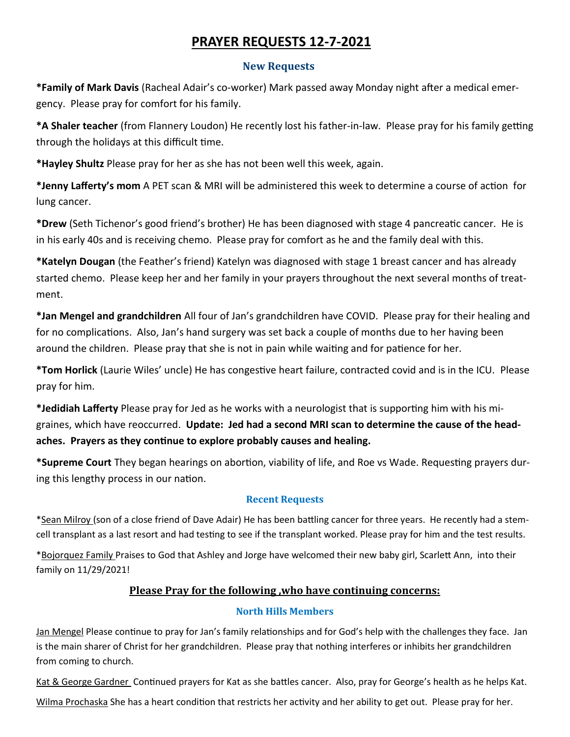# **PRAYER REQUESTS 12-7-2021**

### **New Requests**

**\*Family of Mark Davis** (Racheal Adair's co-worker) Mark passed away Monday night after a medical emergency. Please pray for comfort for his family.

**\*A Shaler teacher** (from Flannery Loudon) He recently lost his father-in-law. Please pray for his family getting through the holidays at this difficult time.

**\*Hayley Shultz** Please pray for her as she has not been well this week, again.

**\*Jenny Lafferty's mom** A PET scan & MRI will be administered this week to determine a course of action for lung cancer.

**\*Drew** (Seth Tichenor's good friend's brother) He has been diagnosed with stage 4 pancreatic cancer. He is in his early 40s and is receiving chemo. Please pray for comfort as he and the family deal with this.

**\*Katelyn Dougan** (the Feather's friend) Katelyn was diagnosed with stage 1 breast cancer and has already started chemo. Please keep her and her family in your prayers throughout the next several months of treatment.

**\*Jan Mengel and grandchildren** All four of Jan's grandchildren have COVID. Please pray for their healing and for no complications. Also, Jan's hand surgery was set back a couple of months due to her having been around the children. Please pray that she is not in pain while waiting and for patience for her.

**\*Tom Horlick** (Laurie Wiles' uncle) He has congestive heart failure, contracted covid and is in the ICU. Please pray for him.

**\*Jedidiah Lafferty** Please pray for Jed as he works with a neurologist that is supporting him with his migraines, which have reoccurred. **Update: Jed had a second MRI scan to determine the cause of the headaches. Prayers as they continue to explore probably causes and healing.**

**\*Supreme Court** They began hearings on abortion, viability of life, and Roe vs Wade. Requesting prayers during this lengthy process in our nation.

# **Recent Requests**

\*Sean Milroy (son of a close friend of Dave Adair) He has been battling cancer for three years. He recently had a stemcell transplant as a last resort and had testing to see if the transplant worked. Please pray for him and the test results.

\*Bojorquez Family Praises to God that Ashley and Jorge have welcomed their new baby girl, Scarlett Ann, into their family on 11/29/2021!

# **Please Pray for the following ,who have continuing concerns:**

# **North Hills Members**

Jan Mengel Please continue to pray for Jan's family relationships and for God's help with the challenges they face. Jan is the main sharer of Christ for her grandchildren. Please pray that nothing interferes or inhibits her grandchildren from coming to church.

Kat & George Gardner Continued prayers for Kat as she battles cancer. Also, pray for George's health as he helps Kat.

Wilma Prochaska She has a heart condition that restricts her activity and her ability to get out. Please pray for her.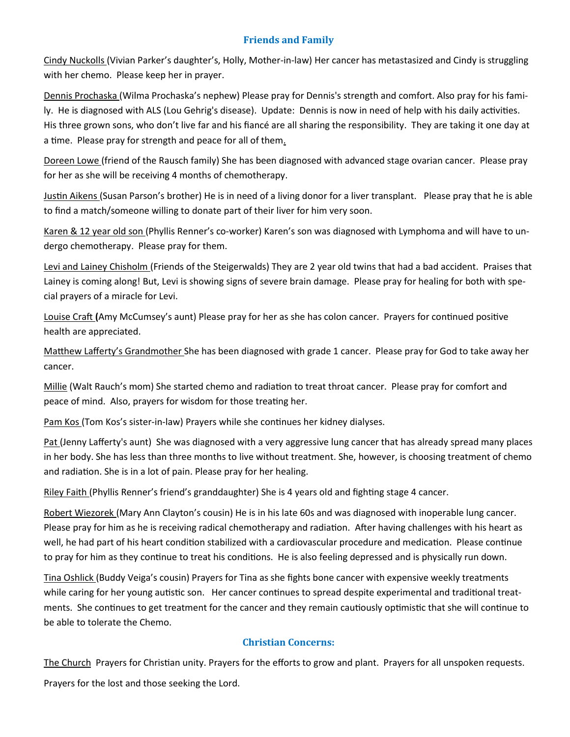#### **Friends and Family**

Cindy Nuckolls (Vivian Parker's daughter's, Holly, Mother-in-law) Her cancer has metastasized and Cindy is struggling with her chemo. Please keep her in prayer.

Dennis Prochaska (Wilma Prochaska's nephew) Please pray for Dennis's strength and comfort. Also pray for his family. He is diagnosed with ALS (Lou Gehrig's disease). Update: Dennis is now in need of help with his daily activities. His three grown sons, who don't live far and his fiancé are all sharing the responsibility. They are taking it one day at a time. Please pray for strength and peace for all of them.

Doreen Lowe (friend of the Rausch family) She has been diagnosed with advanced stage ovarian cancer. Please pray for her as she will be receiving 4 months of chemotherapy.

Justin Aikens (Susan Parson's brother) He is in need of a living donor for a liver transplant. Please pray that he is able to find a match/someone willing to donate part of their liver for him very soon.

Karen & 12 year old son (Phyllis Renner's co-worker) Karen's son was diagnosed with Lymphoma and will have to undergo chemotherapy. Please pray for them.

Levi and Lainey Chisholm (Friends of the Steigerwalds) They are 2 year old twins that had a bad accident. Praises that Lainey is coming along! But, Levi is showing signs of severe brain damage. Please pray for healing for both with special prayers of a miracle for Levi.

Louise Craft **(**Amy McCumsey's aunt) Please pray for her as she has colon cancer. Prayers for continued positive health are appreciated.

Matthew Lafferty's Grandmother She has been diagnosed with grade 1 cancer. Please pray for God to take away her cancer.

Millie (Walt Rauch's mom) She started chemo and radiation to treat throat cancer. Please pray for comfort and peace of mind. Also, prayers for wisdom for those treating her.

Pam Kos (Tom Kos's sister-in-law) Prayers while she continues her kidney dialyses.

Pat (Jenny Lafferty's aunt) She was diagnosed with a very aggressive lung cancer that has already spread many places in her body. She has less than three months to live without treatment. She, however, is choosing treatment of chemo and radiation. She is in a lot of pain. Please pray for her healing.

Riley Faith (Phyllis Renner's friend's granddaughter) She is 4 years old and fighting stage 4 cancer.

Robert Wiezorek (Mary Ann Clayton's cousin) He is in his late 60s and was diagnosed with inoperable lung cancer. Please pray for him as he is receiving radical chemotherapy and radiation. After having challenges with his heart as well, he had part of his heart condition stabilized with a cardiovascular procedure and medication. Please continue to pray for him as they continue to treat his conditions. He is also feeling depressed and is physically run down.

Tina Oshlick (Buddy Veiga's cousin) Prayers for Tina as she fights bone cancer with expensive weekly treatments while caring for her young autistic son. Her cancer continues to spread despite experimental and traditional treatments. She continues to get treatment for the cancer and they remain cautiously optimistic that she will continue to be able to tolerate the Chemo.

### **Christian Concerns:**

The Church Prayers for Christian unity. Prayers for the efforts to grow and plant. Prayers for all unspoken requests.

Prayers for the lost and those seeking the Lord.